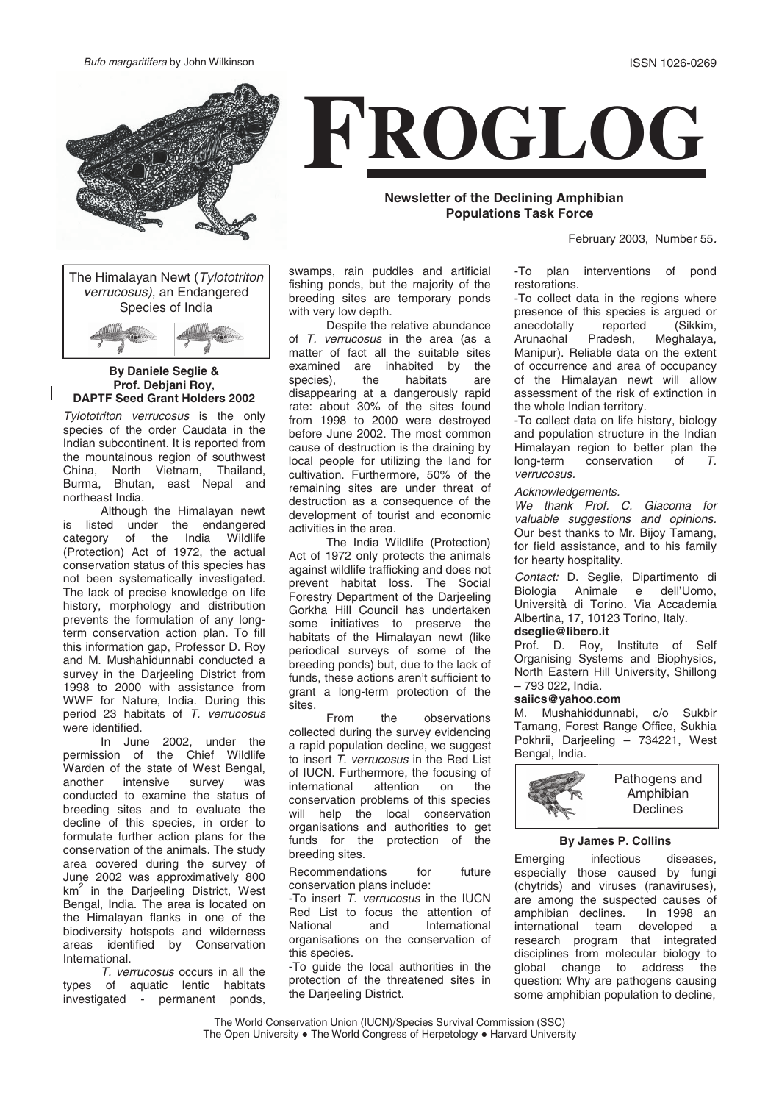Bufo margaritifera by John Wilkinson ISSN 1026-0269



The Himalayan Newt (Tylototriton verrucosus), an Endangered Species of India



#### **By Daniele Seglie & Prof. Debjani Roy, DAPTF Seed Grant Holders 2002**

Tylototriton verrucosus is the only species of the order Caudata in the Indian subcontinent. It is reported from the mountainous region of southwest China, North Vietnam, Thailand, Burma, Bhutan, east Nepal and northeast India.

Although the Himalayan newt is listed under the endangered<br>category of the India Wildlife of the India Wildlife (Protection) Act of 1972, the actual conservation status of this species has not been systematically investigated. The lack of precise knowledge on life history, morphology and distribution prevents the formulation of any longterm conservation action plan. To fill this information gap, Professor D. Roy and M. Mushahidunnabi conducted a survey in the Darieeling District from 1998 to 2000 with assistance from WWF for Nature, India. During this period 23 habitats of T. verrucosus were identified.

In June 2002, under the permission of the Chief Wildlife Warden of the state of West Bengal,<br>another intensive survey was intensive survey was conducted to examine the status of breeding sites and to evaluate the decline of this species, in order to formulate further action plans for the conservation of the animals. The study area covered during the survey of June 2002 was approximatively 800 km<sup>2</sup> in the Darjeeling District, West Bengal, India. The area is located on the Himalayan flanks in one of the biodiversity hotspots and wilderness areas identified by Conservation International.

T. verrucosus occurs in all the types of aquatic lentic habitats investigated - permanent ponds,



**Newsletter of the Declining Amphibian Populations Task Force**

February 2003, Number 55.

swamps, rain puddles and artificial fishing ponds, but the majority of the breeding sites are temporary ponds with very low depth.

Despite the relative abundance of T. verrucosus in the area (as a matter of fact all the suitable sites examined are inhabited by the<br>species), the habitats are species), the habitats are disappearing at a dangerously rapid rate: about 30% of the sites found from 1998 to 2000 were destroyed before June 2002. The most common cause of destruction is the draining by local people for utilizing the land for cultivation. Furthermore, 50% of the remaining sites are under threat of destruction as a consequence of the development of tourist and economic activities in the area.

The India Wildlife (Protection) Act of 1972 only protects the animals against wildlife trafficking and does not prevent habitat loss. The Social Forestry Department of the Darjeeling Gorkha Hill Council has undertaken some initiatives to preserve the habitats of the Himalayan newt (like periodical surveys of some of the breeding ponds) but, due to the lack of funds, these actions aren't sufficient to grant a long-term protection of the sites.

From the observations collected during the survey evidencing a rapid population decline, we suggest to insert T. verrucosus in the Red List of IUCN. Furthermore, the focusing of<br>international attention on the international attention on the conservation problems of this species will help the local conservation organisations and authorities to get funds for the protection of the breeding sites.

Recommendations for future conservation plans include:

-To insert T. verrucosus in the IUCN Red List to focus the attention of<br>National and International **International** organisations on the conservation of this species.

-To guide the local authorities in the protection of the threatened sites in the Darjeeling District.

-To plan interventions of pond restorations.

-To collect data in the regions where presence of this species is argued or anecdotally reported (Sikkim,<br>Arunachal Pradesh. Meghalava. Meghalaya, Manipur). Reliable data on the extent of occurrence and area of occupancy of the Himalayan newt will allow assessment of the risk of extinction in the whole Indian territory.

-To collect data on life history, biology and population structure in the Indian Himalayan region to better plan the<br>long-term conservation of  $\tau$ long-term conservation verrucosus.

#### Acknowledgements.

We thank Prof. C. Giacoma for valuable suggestions and opinions. Our best thanks to Mr. Bijoy Tamang, for field assistance, and to his family for hearty hospitality.

Contact: D. Seglie, Dipartimento di Biologia Animale e dell'Uomo, Università di Torino. Via Accademia Albertina, 17, 10123 Torino, Italy.

# **dseglie@libero.it**

Prof. D. Roy, Institute of Self Organising Systems and Biophysics, North Eastern Hill University, Shillong – 793 022, India.

### **saiics@yahoo.com**

M. Mushahiddunnabi, c/o Sukbir Tamang, Forest Range Office, Sukhia Pokhrii, Darjeeling – 734221, West Bengal, India.



#### **By James P. Collins**

Emerging infectious diseases, especially those caused by fungi (chytrids) and viruses (ranaviruses), are among the suspected causes of<br>amphibian declines. In 1998 an amphibian declines. international team developed a research program that integrated disciplines from molecular biology to global change to address the question: Why are pathogens causing some amphibian population to decline,

The World Conservation Union (IUCN)/Species Survival Commission (SSC) The Open University . The World Congress of Herpetology . Harvard University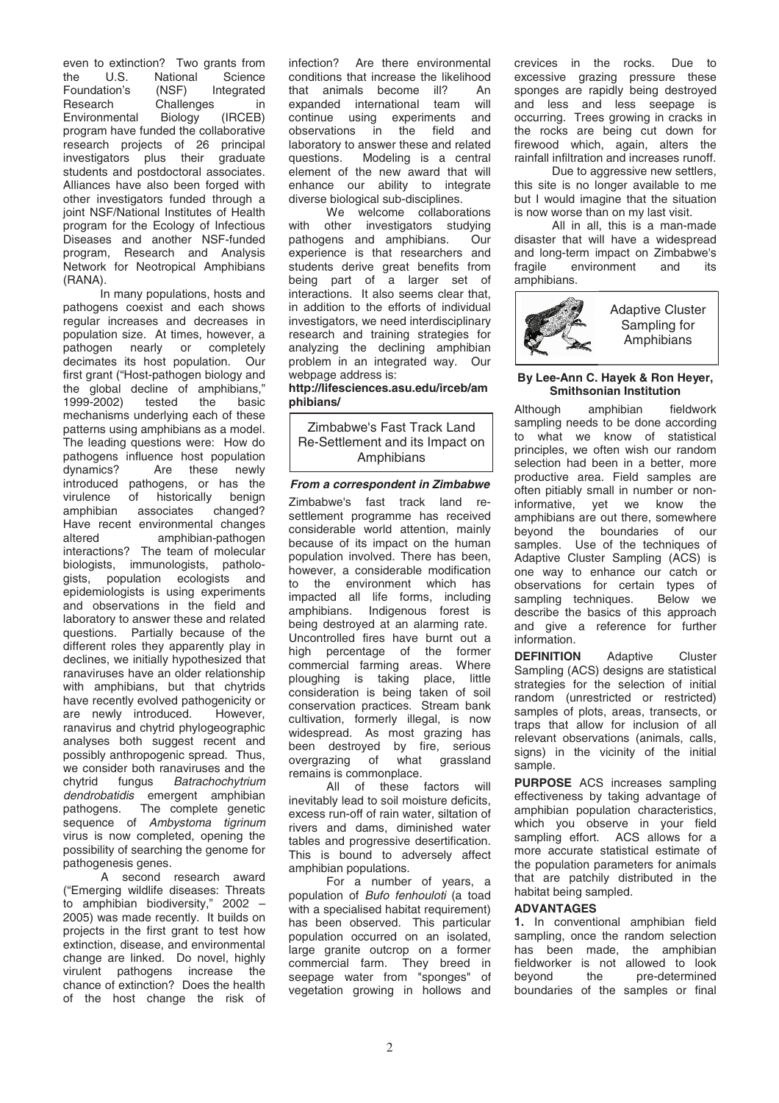even to extinction? Two grants from<br>the U.S. National Science National Science<br>(NSF) Integrated Foundation's<br>Research Challenges in<br>Biology (IRCEB) Environmental program have funded the collaborative research projects of 26 principal investigators plus their graduate students and postdoctoral associates. Alliances have also been forged with other investigators funded through a joint NSF/National Institutes of Health program for the Ecology of Infectious Diseases and another NSF-funded program, Research and Analysis Network for Neotropical Amphibians (RANA).

In many populations, hosts and pathogens coexist and each shows regular increases and decreases in population size. At times, however, a pathogen nearly or completely decimates its host population. Our first grant ("Host-pathogen biology and the global decline of amphibians,"<br>1999-2002) tested the basic 1999-2002) tested the basic mechanisms underlying each of these patterns using amphibians as a model. The leading questions were: How do pathogens influence host population<br>dynamics? Are these newly Are these introduced pathogens, or has the virulence of historically benign<br>amphibian associates changed? amphibian associates Have recent environmental changes<br>altered amphibian-pathogen amphibian-pathogen interactions? The team of molecular biologists, immunologists, pathologists, population ecologists and epidemiologists is using experiments and observations in the field and laboratory to answer these and related questions. Partially because of the different roles they apparently play in declines, we initially hypothesized that ranaviruses have an older relationship with amphibians, but that chytrids have recently evolved pathogenicity or<br>are newly introduced. However, are newly introduced. ranavirus and chytrid phylogeographic analyses both suggest recent and possibly anthropogenic spread. Thus, we consider both ranaviruses and the<br>chytrid fungus *Batrachochytrium* Batrachochytrium dendrobatidis emergent amphibian pathogens. The complete genetic sequence of Ambystoma tigrinum virus is now completed, opening the possibility of searching the genome for pathogenesis genes.

A second research award ("Emerging wildlife diseases: Threats to amphibian biodiversity," 2002 – 2005) was made recently. It builds on projects in the first grant to test how extinction, disease, and environmental change are linked. Do novel, highly virulent pathogens increase the chance of extinction? Does the health of the host change the risk of infection? Are there environmental conditions that increase the likelihood<br>that animals become ill? that animals become ill? An<br>expanded international team will expanded international team continue using experiments and observations in the field and laboratory to answer these and related questions. Modeling is a central element of the new award that will enhance our ability to integrate diverse biological sub-disciplines.

We welcome collaborations with other investigators studying<br>pathogens and amphibians Our pathogens and amphibians. experience is that researchers and students derive great benefits from being part of a larger set of interactions. It also seems clear that, in addition to the efforts of individual investigators, we need interdisciplinary research and training strategies for analyzing the declining amphibian problem in an integrated way. Our webpage address is:

**http://lifesciences.asu.edu/irceb/am phibians/**

Zimbabwe's Fast Track Land Re-Settlement and its Impact on Amphibians

## *From a correspondent in Zimbabwe*

Zimbabwe's fast track land resettlement programme has received considerable world attention, mainly because of its impact on the human population involved. There has been, however, a considerable modification to the environment which has impacted all life forms, including amphibians. Indigenous forest is being destroyed at an alarming rate. Uncontrolled fires have burnt out a high percentage of the former commercial farming areas. Where ploughing is taking place, little consideration is being taken of soil conservation practices. Stream bank cultivation, formerly illegal, is now widespread. As most grazing has been destroyed by fire, serious overgrazing of what grassland remains is commonplace.

All of these factors will inevitably lead to soil moisture deficits, excess run-off of rain water, siltation of rivers and dams, diminished water tables and progressive desertification. This is bound to adversely affect amphibian populations.

For a number of years, a population of Bufo fenhouloti (a toad with a specialised habitat requirement) has been observed. This particular population occurred on an isolated, large granite outcrop on a former commercial farm. They breed in seepage water from "sponges" of vegetation growing in hollows and crevices in the rocks. Due to excessive grazing pressure these sponges are rapidly being destroyed and less and less seepage is occurring. Trees growing in cracks in the rocks are being cut down for firewood which, again, alters the rainfall infiltration and increases runoff.

Due to aggressive new settlers, this site is no longer available to me but I would imagine that the situation is now worse than on my last visit.

All in all, this is a man-made disaster that will have a widespread and long-term impact on Zimbabwe's<br>fragile environment and its environment and amphibians.



## **By Lee-Ann C. Hayek & Ron Heyer, Smithsonian Institution**

Although amphibian fieldwork sampling needs to be done according<br>to what we know of statistical what we know of statistical principles, we often wish our random selection had been in a better, more productive area. Field samples are often pitiably small in number or non-<br>informative vet we know the informative, yet we know amphibians are out there, somewhere beyond the boundaries of our samples. Use of the techniques of Adaptive Cluster Sampling (ACS) is one way to enhance our catch or observations for certain types of<br>sampling techniques. Below we sampling techniques. describe the basics of this approach and give a reference for further information.

**DEFINITION** Adaptive Cluster Sampling (ACS) designs are statistical strategies for the selection of initial random (unrestricted or restricted) samples of plots, areas, transects, or traps that allow for inclusion of all relevant observations (animals, calls, signs) in the vicinity of the initial sample.

**PURPOSE** ACS increases sampling effectiveness by taking advantage of amphibian population characteristics, which you observe in your field sampling effort. ACS allows for a more accurate statistical estimate of the population parameters for animals that are patchily distributed in the habitat being sampled.

# **ADVANTAGES**

**1.** In conventional amphibian field sampling, once the random selection has been made, the amphibian fieldworker is not allowed to look beyond the pre-determined boundaries of the samples or final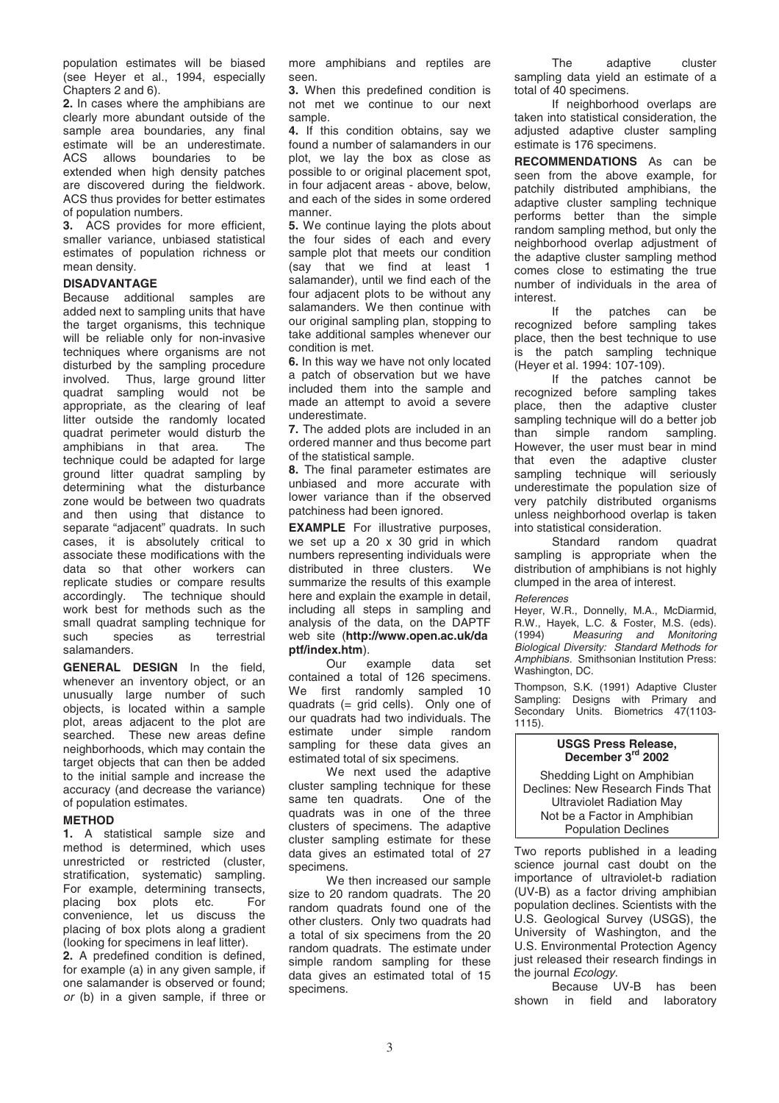population estimates will be biased (see Heyer et al., 1994, especially Chapters 2 and 6).

**2.** In cases where the amphibians are clearly more abundant outside of the sample area boundaries, any final estimate will be an underestimate.<br>ACS allows boundaries to be ACS allows boundaries to extended when high density patches are discovered during the fieldwork. ACS thus provides for better estimates of population numbers.

**3.** ACS provides for more efficient, smaller variance, unbiased statistical estimates of population richness or mean density.

## **DISADVANTAGE**

Because additional samples are added next to sampling units that have the target organisms, this technique will be reliable only for non-invasive techniques where organisms are not disturbed by the sampling procedure involved. Thus, large ground litter quadrat sampling would not be appropriate, as the clearing of leaf litter outside the randomly located quadrat perimeter would disturb the amphibians in that area. The technique could be adapted for large ground litter quadrat sampling by determining what the disturbance zone would be between two quadrats and then using that distance to separate "adjacent" quadrats. In such cases, it is absolutely critical to associate these modifications with the data so that other workers can replicate studies or compare results accordingly. The technique should work best for methods such as the small quadrat sampling technique for<br>such species as terrestrial species salamanders.

**GENERAL DESIGN** In the field, whenever an inventory object, or an unusually large number of such objects, is located within a sample plot, areas adjacent to the plot are searched. These new areas define neighborhoods, which may contain the target objects that can then be added to the initial sample and increase the accuracy (and decrease the variance) of population estimates.

## **METHOD**

**1.** A statistical sample size and method is determined, which uses unrestricted or restricted (cluster, stratification, systematic) sampling. For example, determining transects, placing box plots etc. For convenience, let us discuss the placing of box plots along a gradient (looking for specimens in leaf litter).

**2.** A predefined condition is defined, for example (a) in any given sample, if one salamander is observed or found; or (b) in a given sample, if three or more amphibians and reptiles are seen.

**3.** When this predefined condition is not met we continue to our next sample

**4.** If this condition obtains, say we found a number of salamanders in our plot, we lay the box as close as possible to or original placement spot, in four adjacent areas - above, below, and each of the sides in some ordered manner.

**5.** We continue laying the plots about the four sides of each and every sample plot that meets our condition (say that we find at least 1 salamander), until we find each of the four adjacent plots to be without any salamanders. We then continue with our original sampling plan, stopping to take additional samples whenever our condition is met.

**6.** In this way we have not only located a patch of observation but we have included them into the sample and made an attempt to avoid a severe underestimate.

**7.** The added plots are included in an ordered manner and thus become part of the statistical sample.

**8.** The final parameter estimates are unbiased and more accurate with lower variance than if the observed patchiness had been ignored.

**EXAMPLE** For illustrative purposes, we set up a 20 x 30 grid in which numbers representing individuals were<br>distributed in three clusters We distributed in three clusters. summarize the results of this example here and explain the example in detail, including all steps in sampling and analysis of the data, on the DAPTF web site (**http://www.open.ac.uk/da ptf/index.htm**).

Our example data set contained a total of 126 specimens. We first randomly sampled 10 quadrats (= grid cells). Only one of our quadrats had two individuals. The estimate under simple random sampling for these data gives an estimated total of six specimens.

We next used the adaptive cluster sampling technique for these<br>same ten quadrats. One of the same ten quadrats. quadrats was in one of the three clusters of specimens. The adaptive cluster sampling estimate for these data gives an estimated total of 27 specimens.

We then increased our sample size to 20 random quadrats. The 20 random quadrats found one of the other clusters. Only two quadrats had a total of six specimens from the 20 random quadrats. The estimate under simple random sampling for these data gives an estimated total of 15 specimens.

The adaptive cluster sampling data yield an estimate of a total of 40 specimens.

If neighborhood overlaps are taken into statistical consideration, the adjusted adaptive cluster sampling estimate is 176 specimens.

**RECOMMENDATIONS** As can be seen from the above example, for patchily distributed amphibians, the adaptive cluster sampling technique performs better than the simple random sampling method, but only the neighborhood overlap adjustment of the adaptive cluster sampling method comes close to estimating the true number of individuals in the area of interest.

If the patches can be recognized before sampling takes place, then the best technique to use is the patch sampling technique (Heyer et al. 1994: 107-109).

If the patches cannot be recognized before sampling takes place, then the adaptive cluster sampling technique will do a better job<br>than simple random sampling. than simple random However, the user must bear in mind that even the adaptive cluster sampling technique will seriously underestimate the population size of very patchily distributed organisms unless neighborhood overlap is taken into statistical consideration.

Standard random quadrat sampling is appropriate when the distribution of amphibians is not highly clumped in the area of interest.

#### **References**

Heyer, W.R., Donnelly, M.A., McDiarmid, R.W., Hayek, L.C. & Foster, M.S. (eds). (1994) Measuring and Monitoring Biological Diversity: Standard Methods for Amphibians. Smithsonian Institution Press: Washington, DC.

Thompson, S.K. (1991) Adaptive Cluster Sampling: Designs with Primary and Secondary Units. Biometrics 47(1103- 1115).

## **USGS Press Release, December 3 rd 2002**

Shedding Light on Amphibian Declines: New Research Finds That Ultraviolet Radiation May Not be a Factor in Amphibian Population Declines

Two reports published in a leading science journal cast doubt on the importance of ultraviolet-b radiation (UV-B) as a factor driving amphibian population declines. Scientists with the U.S. Geological Survey (USGS), the University of Washington, and the U.S. Environmental Protection Agency just released their research findings in the journal Ecology.

Because UV-B has been shown in field and laboratory